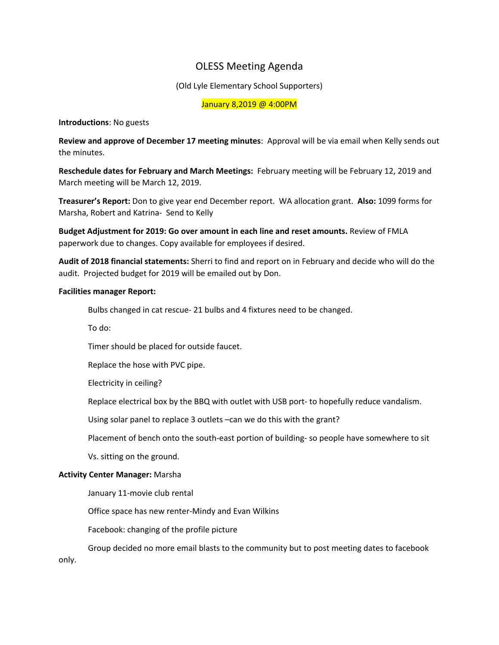# OLESS Meeting Agenda

(Old Lyle Elementary School Supporters)

January 8,2019 @ 4:00PM

## **Introductions**: No guests

**Review and approve of December 17 meeting minutes**: Approval will be via email when Kelly sends out the minutes.

**Reschedule dates for February and March Meetings:** February meeting will be February 12, 2019 and March meeting will be March 12, 2019.

**Treasurer's Report:** Don to give year end December report. WA allocation grant. **Also:** 1099 forms for Marsha, Robert and Katrina- Send to Kelly

**Budget Adjustment for 2019: Go over amount in each line and reset amounts.** Review of FMLA paperwork due to changes. Copy available for employees if desired.

**Audit of 2018 financial statements:** Sherri to find and report on in February and decide who will do the audit. Projected budget for 2019 will be emailed out by Don.

### **Facilities manager Report:**

Bulbs changed in cat rescue- 21 bulbs and 4 fixtures need to be changed.

To do:

Timer should be placed for outside faucet.

Replace the hose with PVC pipe.

Electricity in ceiling?

Replace electrical box by the BBQ with outlet with USB port- to hopefully reduce vandalism.

Using solar panel to replace 3 outlets –can we do this with the grant?

Placement of bench onto the south-east portion of building- so people have somewhere to sit

Vs. sitting on the ground.

## **Activity Center Manager:** Marsha

January 11-movie club rental

Office space has new renter-Mindy and Evan Wilkins

Facebook: changing of the profile picture

Group decided no more email blasts to the community but to post meeting dates to facebook only.